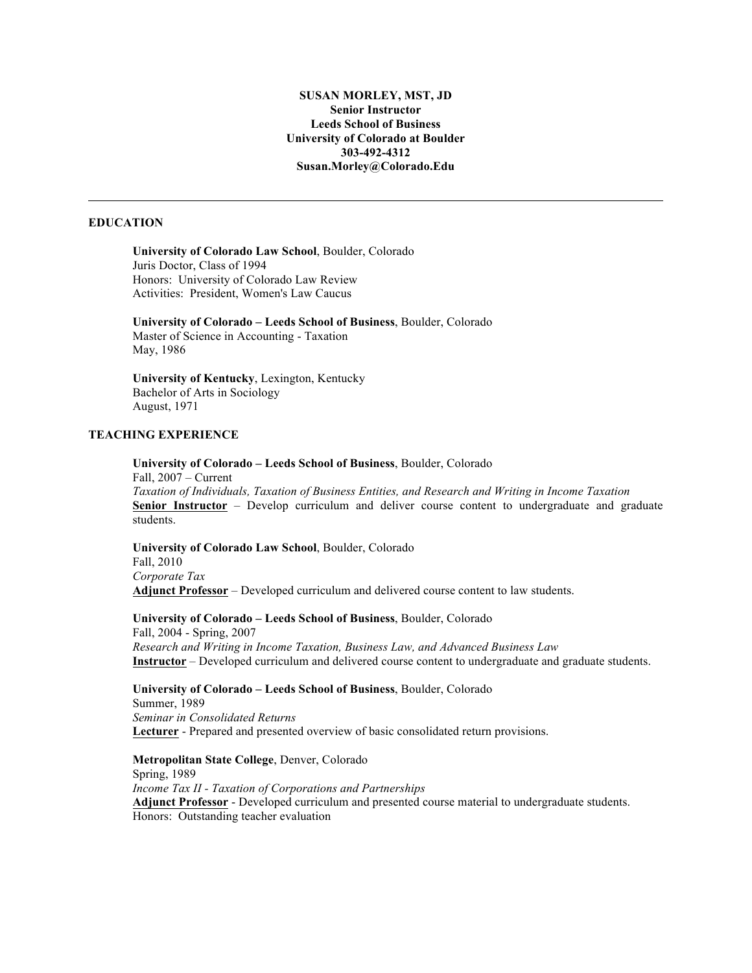# **SUSAN MORLEY, MST, JD Senior Instructor Leeds School of Business University of Colorado at Boulder 303-492-4312 Susan.Morley@Colorado.Edu**

# **EDUCATION**

# **University of Colorado Law School**, Boulder, Colorado Juris Doctor, Class of 1994 Honors: University of Colorado Law Review Activities: President, Women's Law Caucus

**University of Colorado – Leeds School of Business**, Boulder, Colorado Master of Science in Accounting - Taxation May, 1986

**University of Kentucky**, Lexington, Kentucky Bachelor of Arts in Sociology August, 1971

## **TEACHING EXPERIENCE**

**University of Colorado – Leeds School of Business**, Boulder, Colorado Fall, 2007 – Current

*Taxation of Individuals, Taxation of Business Entities, and Research and Writing in Income Taxation* **Senior Instructor** – Develop curriculum and deliver course content to undergraduate and graduate students.

**University of Colorado Law School**, Boulder, Colorado Fall, 2010 *Corporate Tax* **Adjunct Professor** – Developed curriculum and delivered course content to law students.

**University of Colorado – Leeds School of Business**, Boulder, Colorado Fall, 2004 - Spring, 2007 *Research and Writing in Income Taxation, Business Law, and Advanced Business Law* **Instructor** – Developed curriculum and delivered course content to undergraduate and graduate students.

**University of Colorado – Leeds School of Business**, Boulder, Colorado Summer, 1989 *Seminar in Consolidated Returns* **Lecturer** - Prepared and presented overview of basic consolidated return provisions.

**Metropolitan State College**, Denver, Colorado Spring, 1989 *Income Tax II - Taxation of Corporations and Partnerships* **Adjunct Professor** - Developed curriculum and presented course material to undergraduate students. Honors: Outstanding teacher evaluation